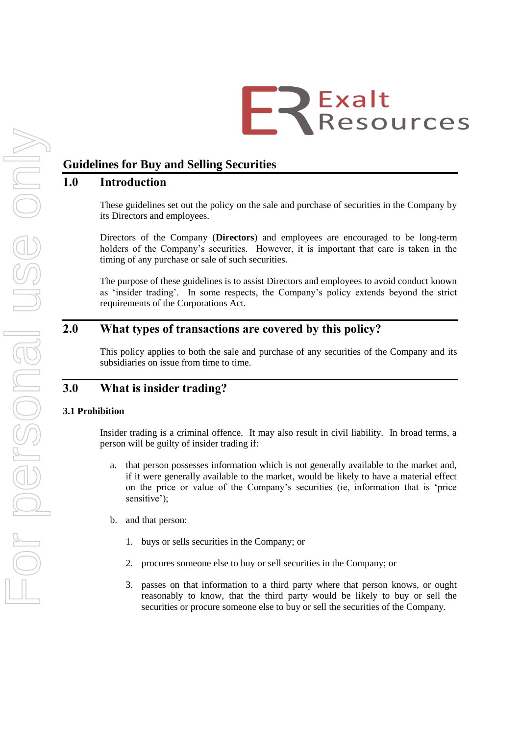# ER Exalt

# **Guidelines for Buy and Selling Securities**

# **1.0 Introduction**

These guidelines set out the policy on the sale and purchase of securities in the Company by its Directors and employees.

Directors of the Company (**Directors**) and employees are encouraged to be long-term holders of the Company's securities. However, it is important that care is taken in the timing of any purchase or sale of such securities.

The purpose of these guidelines is to assist Directors and employees to avoid conduct known as 'insider trading'. In some respects, the Company's policy extends beyond the strict requirements of the Corporations Act.

# **2.0 What types of transactions are covered by this policy?**

This policy applies to both the sale and purchase of any securities of the Company and its subsidiaries on issue from time to time.

# **3.0 What is insider trading?**

## **3.1 Prohibition**

Insider trading is a criminal offence. It may also result in civil liability. In broad terms, a person will be guilty of insider trading if:

- a. that person possesses information which is not generally available to the market and, if it were generally available to the market, would be likely to have a material effect on the price or value of the Company"s securities (ie, information that is "price sensitive');
- b. and that person:
	- 1. buys or sells securities in the Company; or
	- 2. procures someone else to buy or sell securities in the Company; or
	- 3. passes on that information to a third party where that person knows, or ought reasonably to know, that the third party would be likely to buy or sell the securities or procure someone else to buy or sell the securities of the Company.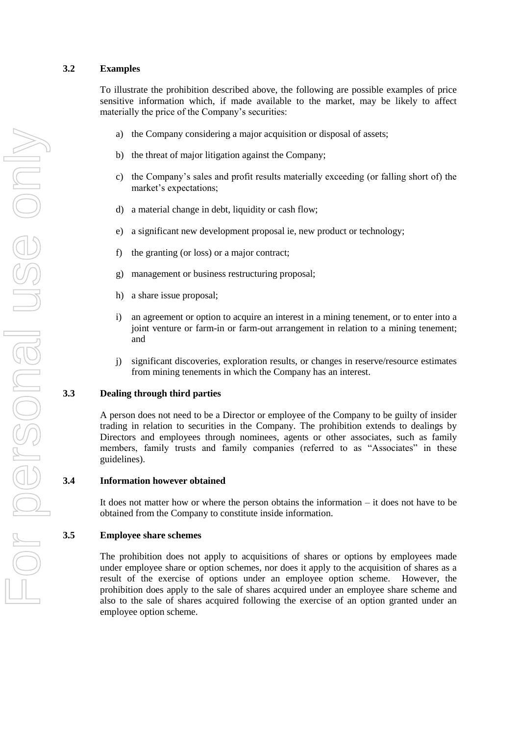#### **3.2 Examples**

To illustrate the prohibition described above, the following are possible examples of price sensitive information which, if made available to the market, may be likely to affect materially the price of the Company's securities:

- a) the Company considering a major acquisition or disposal of assets;
- b) the threat of major litigation against the Company;
- c) the Company"s sales and profit results materially exceeding (or falling short of) the market's expectations;
- d) a material change in debt, liquidity or cash flow;
- e) a significant new development proposal ie, new product or technology;
- f) the granting (or loss) or a major contract;
- g) management or business restructuring proposal;
- h) a share issue proposal;
- i) an agreement or option to acquire an interest in a mining tenement, or to enter into a joint venture or farm-in or farm-out arrangement in relation to a mining tenement; and
- j) significant discoveries, exploration results, or changes in reserve/resource estimates from mining tenements in which the Company has an interest.

#### **3.3 Dealing through third parties**

A person does not need to be a Director or employee of the Company to be guilty of insider trading in relation to securities in the Company. The prohibition extends to dealings by Directors and employees through nominees, agents or other associates, such as family members, family trusts and family companies (referred to as "Associates" in these guidelines).

#### **3.4 Information however obtained**

It does not matter how or where the person obtains the information – it does not have to be obtained from the Company to constitute inside information.

#### **3.5 Employee share schemes**

The prohibition does not apply to acquisitions of shares or options by employees made under employee share or option schemes, nor does it apply to the acquisition of shares as a result of the exercise of options under an employee option scheme. However, the prohibition does apply to the sale of shares acquired under an employee share scheme and also to the sale of shares acquired following the exercise of an option granted under an employee option scheme.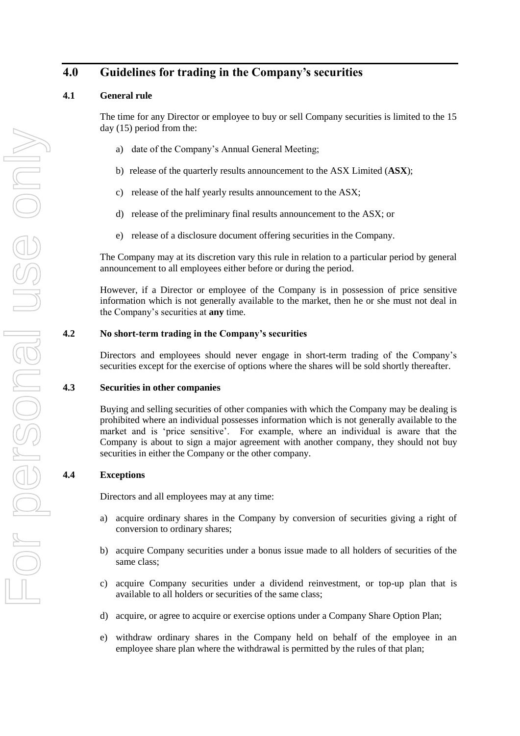# **4.0 Guidelines for trading in the Company's securities**

## **4.1 General rule**

The time for any Director or employee to buy or sell Company securities is limited to the 15 day (15) period from the:

- a) date of the Company"s Annual General Meeting;
- b) release of the quarterly results announcement to the ASX Limited (**ASX**);
- c) release of the half yearly results announcement to the ASX;
- d) release of the preliminary final results announcement to the ASX; or
- e) release of a disclosure document offering securities in the Company.

The Company may at its discretion vary this rule in relation to a particular period by general announcement to all employees either before or during the period.

However, if a Director or employee of the Company is in possession of price sensitive information which is not generally available to the market, then he or she must not deal in the Company"s securities at **any** time.

## **4.2 No short-term trading in the Company's securities**

Directors and employees should never engage in short-term trading of the Company"s securities except for the exercise of options where the shares will be sold shortly thereafter.

#### **4.3 Securities in other companies**

Buying and selling securities of other companies with which the Company may be dealing is prohibited where an individual possesses information which is not generally available to the market and is "price sensitive". For example, where an individual is aware that the Company is about to sign a major agreement with another company, they should not buy securities in either the Company or the other company.

## **4.4 Exceptions**

Directors and all employees may at any time:

- a) acquire ordinary shares in the Company by conversion of securities giving a right of conversion to ordinary shares;
- b) acquire Company securities under a bonus issue made to all holders of securities of the same class;
- c) acquire Company securities under a dividend reinvestment, or top-up plan that is available to all holders or securities of the same class;
- d) acquire, or agree to acquire or exercise options under a Company Share Option Plan;
- e) withdraw ordinary shares in the Company held on behalf of the employee in an employee share plan where the withdrawal is permitted by the rules of that plan;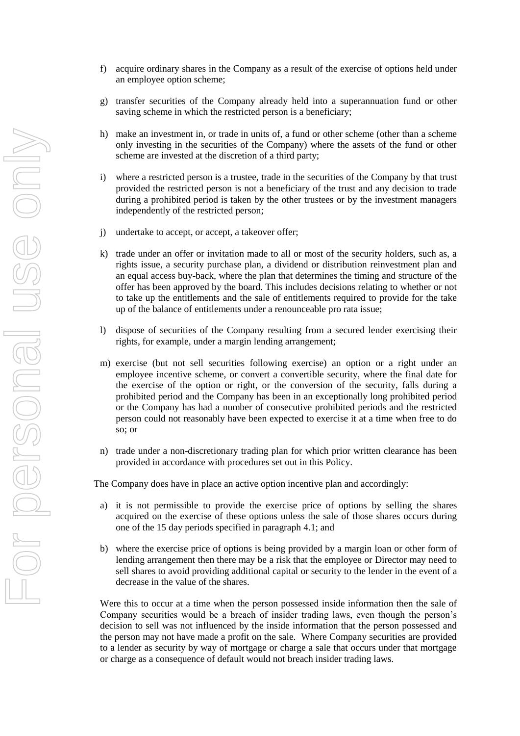- f) acquire ordinary shares in the Company as a result of the exercise of options held under an employee option scheme;
- g) transfer securities of the Company already held into a superannuation fund or other saving scheme in which the restricted person is a beneficiary;
- h) make an investment in, or trade in units of, a fund or other scheme (other than a scheme only investing in the securities of the Company) where the assets of the fund or other scheme are invested at the discretion of a third party;
- i) where a restricted person is a trustee, trade in the securities of the Company by that trust provided the restricted person is not a beneficiary of the trust and any decision to trade during a prohibited period is taken by the other trustees or by the investment managers independently of the restricted person;
- j) undertake to accept, or accept, a takeover offer;
- k) trade under an offer or invitation made to all or most of the security holders, such as, a rights issue, a security purchase plan, a dividend or distribution reinvestment plan and an equal access buy-back, where the plan that determines the timing and structure of the offer has been approved by the board. This includes decisions relating to whether or not to take up the entitlements and the sale of entitlements required to provide for the take up of the balance of entitlements under a renounceable pro rata issue;
- l) dispose of securities of the Company resulting from a secured lender exercising their rights, for example, under a margin lending arrangement;
- m) exercise (but not sell securities following exercise) an option or a right under an employee incentive scheme, or convert a convertible security, where the final date for the exercise of the option or right, or the conversion of the security, falls during a prohibited period and the Company has been in an exceptionally long prohibited period or the Company has had a number of consecutive prohibited periods and the restricted person could not reasonably have been expected to exercise it at a time when free to do so; or
- n) trade under a non-discretionary trading plan for which prior written clearance has been provided in accordance with procedures set out in this Policy.

The Company does have in place an active option incentive plan and accordingly:

- a) it is not permissible to provide the exercise price of options by selling the shares acquired on the exercise of these options unless the sale of those shares occurs during one of the 15 day periods specified in paragraph 4.1; and
- b) where the exercise price of options is being provided by a margin loan or other form of lending arrangement then there may be a risk that the employee or Director may need to sell shares to avoid providing additional capital or security to the lender in the event of a decrease in the value of the shares.

Were this to occur at a time when the person possessed inside information then the sale of Company securities would be a breach of insider trading laws, even though the person"s decision to sell was not influenced by the inside information that the person possessed and the person may not have made a profit on the sale. Where Company securities are provided to a lender as security by way of mortgage or charge a sale that occurs under that mortgage or charge as a consequence of default would not breach insider trading laws.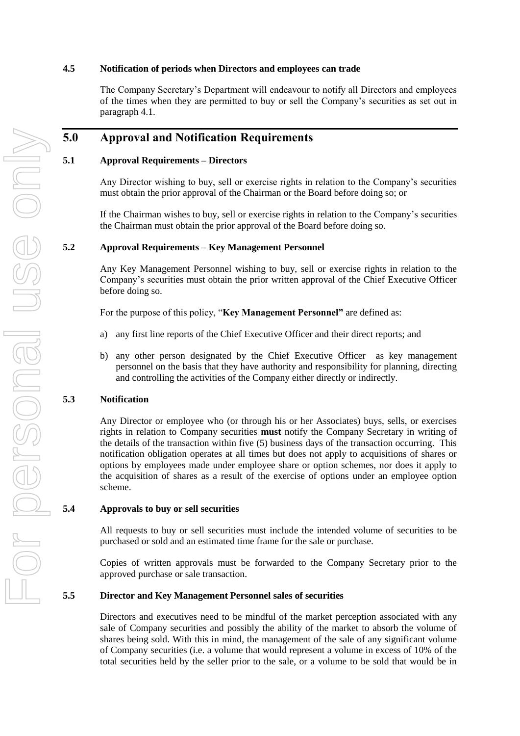#### **4.5 Notification of periods when Directors and employees can trade**

The Company Secretary"s Department will endeavour to notify all Directors and employees of the times when they are permitted to buy or sell the Company"s securities as set out in paragraph 4.1.

# **5.0 Approval and Notification Requirements**

## **5.1 Approval Requirements – Directors**

Any Director wishing to buy, sell or exercise rights in relation to the Company"s securities must obtain the prior approval of the Chairman or the Board before doing so; or

If the Chairman wishes to buy, sell or exercise rights in relation to the Company"s securities the Chairman must obtain the prior approval of the Board before doing so.

#### **5.2 Approval Requirements – Key Management Personnel**

Any Key Management Personnel wishing to buy, sell or exercise rights in relation to the Company"s securities must obtain the prior written approval of the Chief Executive Officer before doing so.

For the purpose of this policy, "**Key Management Personnel"** are defined as:

- a) any first line reports of the Chief Executive Officer and their direct reports; and
- b) any other person designated by the Chief Executive Officer as key management personnel on the basis that they have authority and responsibility for planning, directing and controlling the activities of the Company either directly or indirectly.

#### **5.3 Notification**

Any Director or employee who (or through his or her Associates) buys, sells, or exercises rights in relation to Company securities **must** notify the Company Secretary in writing of the details of the transaction within five (5) business days of the transaction occurring. This notification obligation operates at all times but does not apply to acquisitions of shares or options by employees made under employee share or option schemes, nor does it apply to the acquisition of shares as a result of the exercise of options under an employee option scheme.

#### **5.4 Approvals to buy or sell securities**

All requests to buy or sell securities must include the intended volume of securities to be purchased or sold and an estimated time frame for the sale or purchase.

Copies of written approvals must be forwarded to the Company Secretary prior to the approved purchase or sale transaction.

#### **5.5 Director and Key Management Personnel sales of securities**

Directors and executives need to be mindful of the market perception associated with any sale of Company securities and possibly the ability of the market to absorb the volume of shares being sold. With this in mind, the management of the sale of any significant volume of Company securities (i.e. a volume that would represent a volume in excess of 10% of the total securities held by the seller prior to the sale, or a volume to be sold that would be in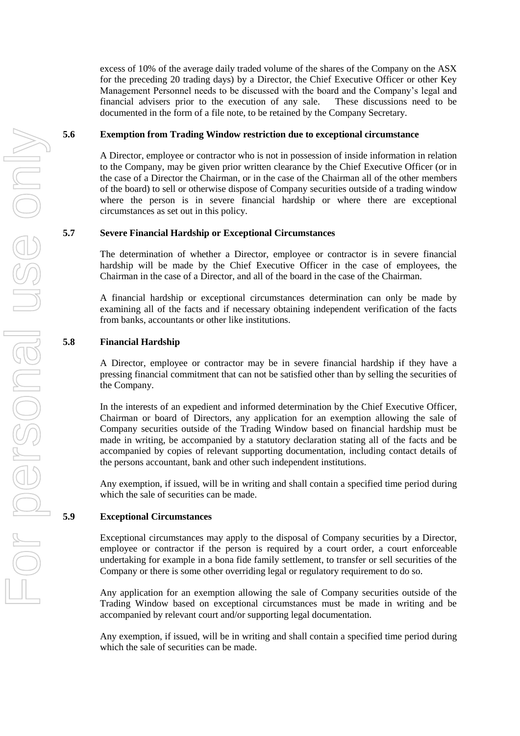excess of 10% of the average daily traded volume of the shares of the Company on the ASX for the preceding 20 trading days) by a Director, the Chief Executive Officer or other Key Management Personnel needs to be discussed with the board and the Company"s legal and financial advisers prior to the execution of any sale. These discussions need to be documented in the form of a file note, to be retained by the Company Secretary.

#### **5.6 Exemption from Trading Window restriction due to exceptional circumstance**

A Director, employee or contractor who is not in possession of inside information in relation to the Company, may be given prior written clearance by the Chief Executive Officer (or in the case of a Director the Chairman, or in the case of the Chairman all of the other members of the board) to sell or otherwise dispose of Company securities outside of a trading window where the person is in severe financial hardship or where there are exceptional circumstances as set out in this policy.

#### **5.7 Severe Financial Hardship or Exceptional Circumstances**

The determination of whether a Director, employee or contractor is in severe financial hardship will be made by the Chief Executive Officer in the case of employees, the Chairman in the case of a Director, and all of the board in the case of the Chairman.

A financial hardship or exceptional circumstances determination can only be made by examining all of the facts and if necessary obtaining independent verification of the facts from banks, accountants or other like institutions.

#### **5.8 Financial Hardship**

A Director, employee or contractor may be in severe financial hardship if they have a pressing financial commitment that can not be satisfied other than by selling the securities of the Company.

In the interests of an expedient and informed determination by the Chief Executive Officer, Chairman or board of Directors, any application for an exemption allowing the sale of Company securities outside of the Trading Window based on financial hardship must be made in writing, be accompanied by a statutory declaration stating all of the facts and be accompanied by copies of relevant supporting documentation, including contact details of the persons accountant, bank and other such independent institutions.

Any exemption, if issued, will be in writing and shall contain a specified time period during which the sale of securities can be made.

#### **5.9 Exceptional Circumstances**

Exceptional circumstances may apply to the disposal of Company securities by a Director, employee or contractor if the person is required by a court order, a court enforceable undertaking for example in a bona fide family settlement, to transfer or sell securities of the Company or there is some other overriding legal or regulatory requirement to do so.

Any application for an exemption allowing the sale of Company securities outside of the Trading Window based on exceptional circumstances must be made in writing and be accompanied by relevant court and/or supporting legal documentation.

Any exemption, if issued, will be in writing and shall contain a specified time period during which the sale of securities can be made.